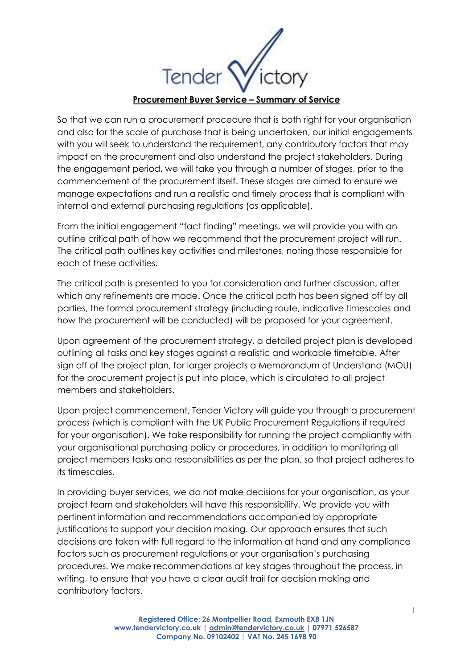Tend

**Procurement Buyer Service – Summary of Service**

So that we can run a procurement procedure that is both right for your organisation and also for the scale of purchase that is being undertaken, our initial engagements with you will seek to understand the requirement, any contributory factors that may impact on the procurement and also understand the project stakeholders. During the engagement period, we will take you through a number of stages, prior to the commencement of the procurement itself. These stages are aimed to ensure we manage expectations and run a realistic and timely process that is compliant with internal and external purchasing regulations (as applicable).

From the initial engagement "fact finding" meetings, we will provide you with an outline critical path of how we recommend that the procurement project will run. The critical path outlines key activities and milestones, noting those responsible for each of these activities.

The critical path is presented to you for consideration and further discussion, after which any refinements are made. Once the critical path has been signed off by all parties, the formal procurement strategy (including route, indicative timescales and how the procurement will be conducted) will be proposed for your agreement.

Upon agreement of the procurement strategy, a detailed project plan is developed outlining all tasks and key stages against a realistic and workable timetable. After sign off of the project plan, for larger projects a Memorandum of Understand (MOU) for the procurement project is put into place, which is circulated to all project members and stakeholders.

Upon project commencement, Tender Victory will guide you through a procurement process (which is compliant with the UK Public Procurement Regulations if required for your organisation). We take responsibility for running the project compliantly with your organisational purchasing policy or procedures, in addition to monitoring all project members tasks and responsibilities as per the plan, so that project adheres to its timescales.

In providing buyer services, we do not make decisions for your organisation, as your project team and stakeholders will have this responsibility. We provide you with pertinent information and recommendations accompanied by appropriate justifications to support your decision making. Our approach ensures that such decisions are taken with full regard to the information at hand and any compliance factors such as procurement regulations or your organisation's purchasing procedures. We make recommendations at key stages throughout the process, in writing, to ensure that you have a clear audit trail for decision making and contributory factors.